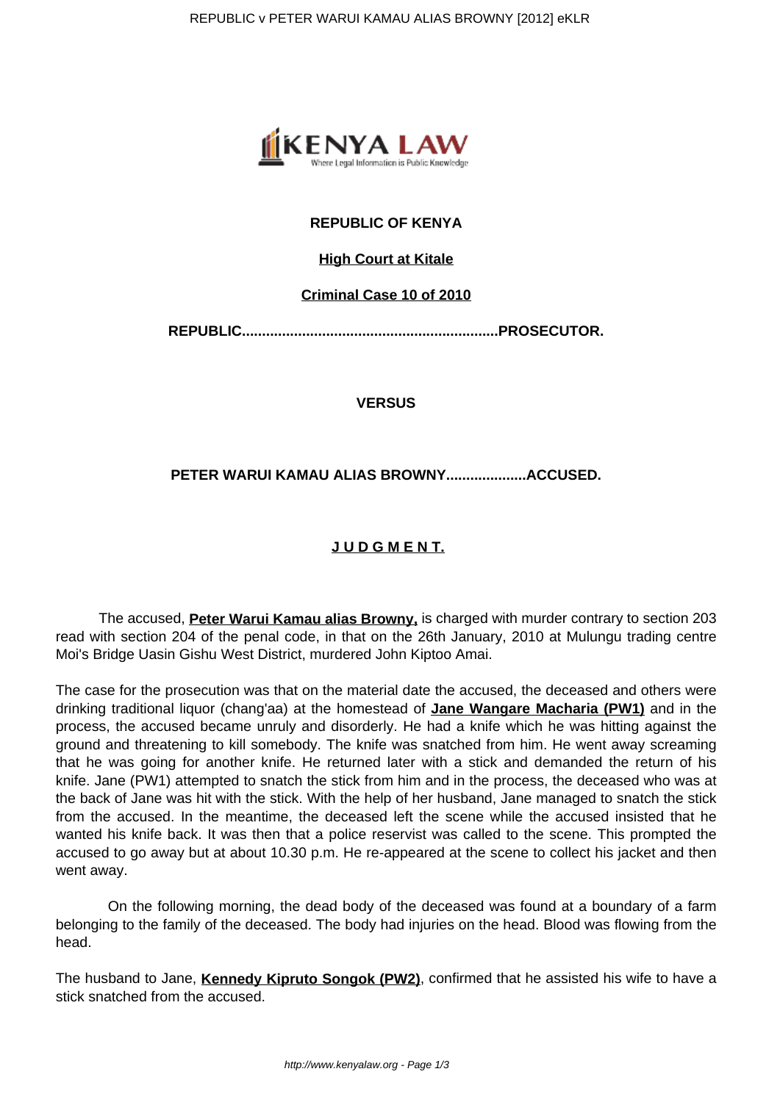

# **REPUBLIC OF KENYA**

# **High Court at Kitale**

## **Criminal Case 10 of 2010**

**REPUBLIC................................................................PROSECUTOR.**

**VERSUS**

# **PETER WARUI KAMAU ALIAS BROWNY....................ACCUSED.**

# **J U D G M E N T.**

 The accused, **Peter Warui Kamau alias Browny,** is charged with murder contrary to section 203 read with section 204 of the penal code, in that on the 26th January, 2010 at Mulungu trading centre Moi's Bridge Uasin Gishu West District, murdered John Kiptoo Amai.

The case for the prosecution was that on the material date the accused, the deceased and others were drinking traditional liquor (chang'aa) at the homestead of **Jane Wangare Macharia (PW1)** and in the process, the accused became unruly and disorderly. He had a knife which he was hitting against the ground and threatening to kill somebody. The knife was snatched from him. He went away screaming that he was going for another knife. He returned later with a stick and demanded the return of his knife. Jane (PW1) attempted to snatch the stick from him and in the process, the deceased who was at the back of Jane was hit with the stick. With the help of her husband, Jane managed to snatch the stick from the accused. In the meantime, the deceased left the scene while the accused insisted that he wanted his knife back. It was then that a police reservist was called to the scene. This prompted the accused to go away but at about 10.30 p.m. He re-appeared at the scene to collect his jacket and then went away.

 On the following morning, the dead body of the deceased was found at a boundary of a farm belonging to the family of the deceased. The body had injuries on the head. Blood was flowing from the head.

The husband to Jane, **Kennedy Kipruto Songok (PW2)**, confirmed that he assisted his wife to have a stick snatched from the accused.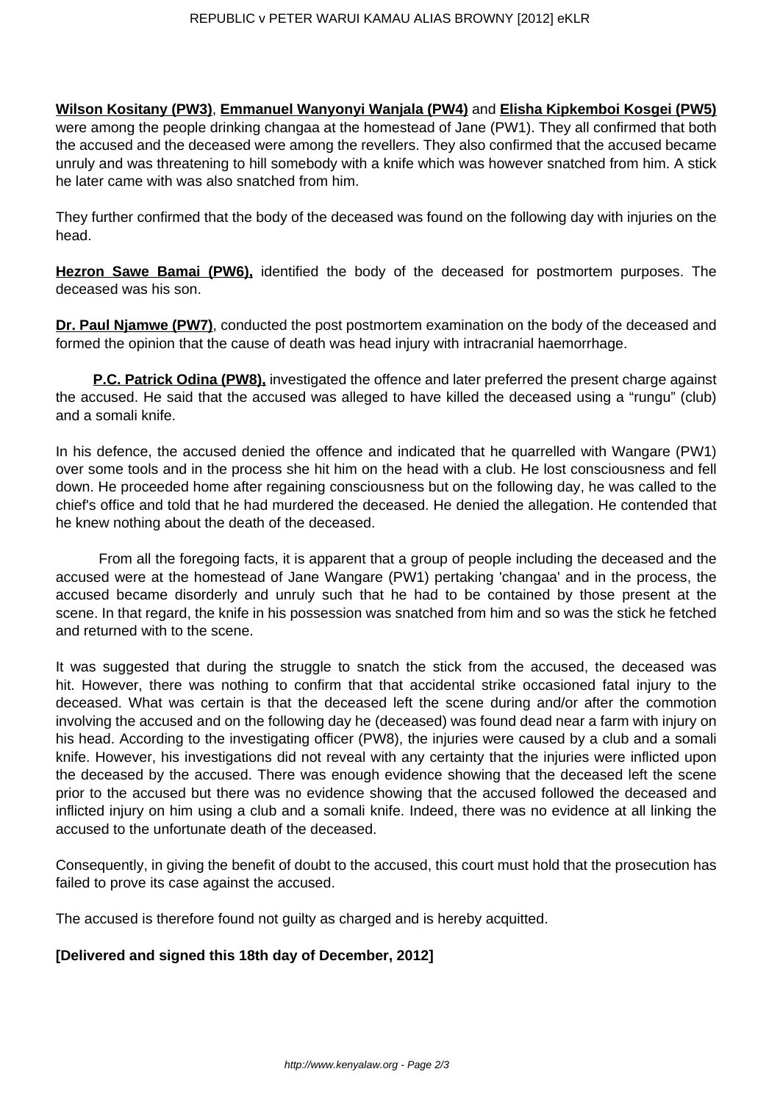**Wilson Kositany (PW3)**, **Emmanuel Wanyonyi Wanjala (PW4)** and **Elisha Kipkemboi Kosgei (PW5)** were among the people drinking changaa at the homestead of Jane (PW1). They all confirmed that both the accused and the deceased were among the revellers. They also confirmed that the accused became unruly and was threatening to hill somebody with a knife which was however snatched from him. A stick he later came with was also snatched from him.

They further confirmed that the body of the deceased was found on the following day with injuries on the head.

**Hezron Sawe Bamai (PW6),** identified the body of the deceased for postmortem purposes. The deceased was his son.

**Dr. Paul Njamwe (PW7)**, conducted the post postmortem examination on the body of the deceased and formed the opinion that the cause of death was head injury with intracranial haemorrhage.

**P.C. Patrick Odina (PW8),** investigated the offence and later preferred the present charge against the accused. He said that the accused was alleged to have killed the deceased using a "rungu" (club) and a somali knife.

In his defence, the accused denied the offence and indicated that he quarrelled with Wangare (PW1) over some tools and in the process she hit him on the head with a club. He lost consciousness and fell down. He proceeded home after regaining consciousness but on the following day, he was called to the chief's office and told that he had murdered the deceased. He denied the allegation. He contended that he knew nothing about the death of the deceased.

 From all the foregoing facts, it is apparent that a group of people including the deceased and the accused were at the homestead of Jane Wangare (PW1) pertaking 'changaa' and in the process, the accused became disorderly and unruly such that he had to be contained by those present at the scene. In that regard, the knife in his possession was snatched from him and so was the stick he fetched and returned with to the scene.

It was suggested that during the struggle to snatch the stick from the accused, the deceased was hit. However, there was nothing to confirm that that accidental strike occasioned fatal injury to the deceased. What was certain is that the deceased left the scene during and/or after the commotion involving the accused and on the following day he (deceased) was found dead near a farm with injury on his head. According to the investigating officer (PW8), the injuries were caused by a club and a somali knife. However, his investigations did not reveal with any certainty that the injuries were inflicted upon the deceased by the accused. There was enough evidence showing that the deceased left the scene prior to the accused but there was no evidence showing that the accused followed the deceased and inflicted injury on him using a club and a somali knife. Indeed, there was no evidence at all linking the accused to the unfortunate death of the deceased.

Consequently, in giving the benefit of doubt to the accused, this court must hold that the prosecution has failed to prove its case against the accused.

The accused is therefore found not guilty as charged and is hereby acquitted.

# **[Delivered and signed this 18th day of December, 2012]**